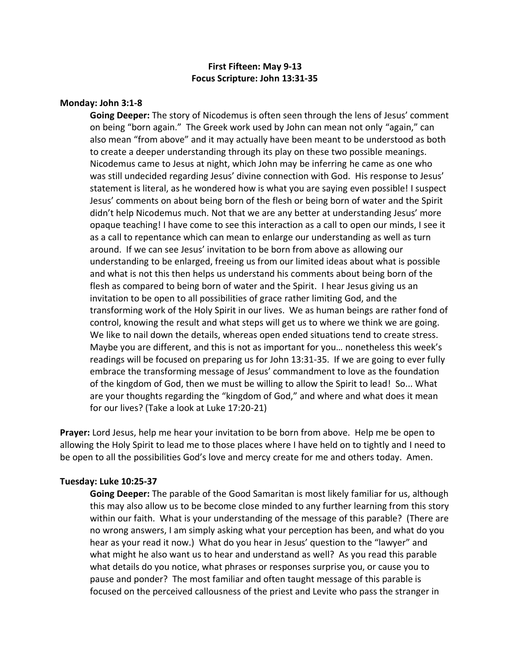# **First Fifteen: May 9-13 Focus Scripture: John 13:31-35**

## **Monday: John 3:1-8**

**Going Deeper:** The story of Nicodemus is often seen through the lens of Jesus' comment on being "born again." The Greek work used by John can mean not only "again," can also mean "from above" and it may actually have been meant to be understood as both to create a deeper understanding through its play on these two possible meanings. Nicodemus came to Jesus at night, which John may be inferring he came as one who was still undecided regarding Jesus' divine connection with God. His response to Jesus' statement is literal, as he wondered how is what you are saying even possible! I suspect Jesus' comments on about being born of the flesh or being born of water and the Spirit didn't help Nicodemus much. Not that we are any better at understanding Jesus' more opaque teaching! I have come to see this interaction as a call to open our minds, I see it as a call to repentance which can mean to enlarge our understanding as well as turn around. If we can see Jesus' invitation to be born from above as allowing our understanding to be enlarged, freeing us from our limited ideas about what is possible and what is not this then helps us understand his comments about being born of the flesh as compared to being born of water and the Spirit. I hear Jesus giving us an invitation to be open to all possibilities of grace rather limiting God, and the transforming work of the Holy Spirit in our lives. We as human beings are rather fond of control, knowing the result and what steps will get us to where we think we are going. We like to nail down the details, whereas open ended situations tend to create stress. Maybe you are different, and this is not as important for you… nonetheless this week's readings will be focused on preparing us for John 13:31-35. If we are going to ever fully embrace the transforming message of Jesus' commandment to love as the foundation of the kingdom of God, then we must be willing to allow the Spirit to lead! So... What are your thoughts regarding the "kingdom of God," and where and what does it mean for our lives? (Take a look at Luke 17:20-21)

**Prayer:** Lord Jesus, help me hear your invitation to be born from above. Help me be open to allowing the Holy Spirit to lead me to those places where I have held on to tightly and I need to be open to all the possibilities God's love and mercy create for me and others today. Amen.

### **Tuesday: Luke 10:25-37**

**Going Deeper:** The parable of the Good Samaritan is most likely familiar for us, although this may also allow us to be become close minded to any further learning from this story within our faith. What is your understanding of the message of this parable? (There are no wrong answers, I am simply asking what your perception has been, and what do you hear as your read it now.) What do you hear in Jesus' question to the "lawyer" and what might he also want us to hear and understand as well? As you read this parable what details do you notice, what phrases or responses surprise you, or cause you to pause and ponder? The most familiar and often taught message of this parable is focused on the perceived callousness of the priest and Levite who pass the stranger in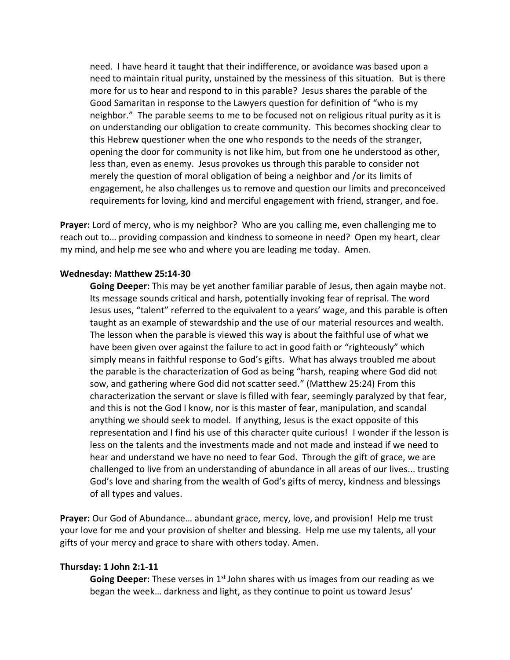need. I have heard it taught that their indifference, or avoidance was based upon a need to maintain ritual purity, unstained by the messiness of this situation. But is there more for us to hear and respond to in this parable? Jesus shares the parable of the Good Samaritan in response to the Lawyers question for definition of "who is my neighbor." The parable seems to me to be focused not on religious ritual purity as it is on understanding our obligation to create community. This becomes shocking clear to this Hebrew questioner when the one who responds to the needs of the stranger, opening the door for community is not like him, but from one he understood as other, less than, even as enemy. Jesus provokes us through this parable to consider not merely the question of moral obligation of being a neighbor and /or its limits of engagement, he also challenges us to remove and question our limits and preconceived requirements for loving, kind and merciful engagement with friend, stranger, and foe.

**Prayer:** Lord of mercy, who is my neighbor? Who are you calling me, even challenging me to reach out to… providing compassion and kindness to someone in need? Open my heart, clear my mind, and help me see who and where you are leading me today. Amen.

### **Wednesday: Matthew 25:14-30**

**Going Deeper:** This may be yet another familiar parable of Jesus, then again maybe not. Its message sounds critical and harsh, potentially invoking fear of reprisal. The word Jesus uses, "talent" referred to the equivalent to a years' wage, and this parable is often taught as an example of stewardship and the use of our material resources and wealth. The lesson when the parable is viewed this way is about the faithful use of what we have been given over against the failure to act in good faith or "righteously" which simply means in faithful response to God's gifts. What has always troubled me about the parable is the characterization of God as being "harsh, reaping where God did not sow, and gathering where God did not scatter seed." (Matthew 25:24) From this characterization the servant or slave is filled with fear, seemingly paralyzed by that fear, and this is not the God I know, nor is this master of fear, manipulation, and scandal anything we should seek to model. If anything, Jesus is the exact opposite of this representation and I find his use of this character quite curious! I wonder if the lesson is less on the talents and the investments made and not made and instead if we need to hear and understand we have no need to fear God. Through the gift of grace, we are challenged to live from an understanding of abundance in all areas of our lives... trusting God's love and sharing from the wealth of God's gifts of mercy, kindness and blessings of all types and values.

**Prayer:** Our God of Abundance… abundant grace, mercy, love, and provision! Help me trust your love for me and your provision of shelter and blessing. Help me use my talents, all your gifts of your mercy and grace to share with others today. Amen.

#### **Thursday: 1 John 2:1-11**

**Going Deeper:** These verses in 1<sup>st</sup> John shares with us images from our reading as we began the week… darkness and light, as they continue to point us toward Jesus'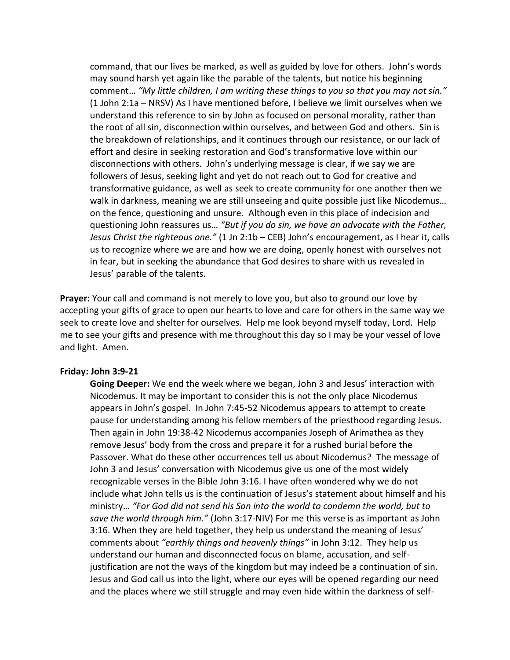command, that our lives be marked, as well as guided by love for others. John's words may sound harsh yet again like the parable of the talents, but notice his beginning comment… *"My little children, I am writing these things to you so that you may not sin."*  (1 John 2:1a – NRSV) As I have mentioned before, I believe we limit ourselves when we understand this reference to sin by John as focused on personal morality, rather than the root of all sin, disconnection within ourselves, and between God and others. Sin is the breakdown of relationships, and it continues through our resistance, or our lack of effort and desire in seeking restoration and God's transformative love within our disconnections with others. John's underlying message is clear, if we say we are followers of Jesus, seeking light and yet do not reach out to God for creative and transformative guidance, as well as seek to create community for one another then we walk in darkness, meaning we are still unseeing and quite possible just like Nicodemus… on the fence, questioning and unsure. Although even in this place of indecision and questioning John reassures us… *"But if you do sin, we have an advocate with the Father, Jesus Christ the righteous one."* (1 Jn 2:1b – CEB) John's encouragement, as I hear it, calls us to recognize where we are and how we are doing, openly honest with ourselves not in fear, but in seeking the abundance that God desires to share with us revealed in Jesus' parable of the talents.

**Prayer:** Your call and command is not merely to love you, but also to ground our love by accepting your gifts of grace to open our hearts to love and care for others in the same way we seek to create love and shelter for ourselves. Help me look beyond myself today, Lord. Help me to see your gifts and presence with me throughout this day so I may be your vessel of love and light. Amen.

### **Friday: John 3:9-21**

**Going Deeper:** We end the week where we began, John 3 and Jesus' interaction with Nicodemus. It may be important to consider this is not the only place Nicodemus appears in John's gospel. In John 7:45-52 Nicodemus appears to attempt to create pause for understanding among his fellow members of the priesthood regarding Jesus. Then again in John 19:38-42 Nicodemus accompanies Joseph of Arimathea as they remove Jesus' body from the cross and prepare it for a rushed burial before the Passover. What do these other occurrences tell us about Nicodemus? The message of John 3 and Jesus' conversation with Nicodemus give us one of the most widely recognizable verses in the Bible John 3:16. I have often wondered why we do not include what John tells us is the continuation of Jesus's statement about himself and his ministry… *"For God did not send his Son into the world to condemn the world, but to save the world through him."* (John 3:17-NIV) For me this verse is as important as John 3:16. When they are held together, they help us understand the meaning of Jesus' comments about *"earthly things and heavenly things"* in John 3:12. They help us understand our human and disconnected focus on blame, accusation, and selfjustification are not the ways of the kingdom but may indeed be a continuation of sin. Jesus and God call us into the light, where our eyes will be opened regarding our need and the places where we still struggle and may even hide within the darkness of self